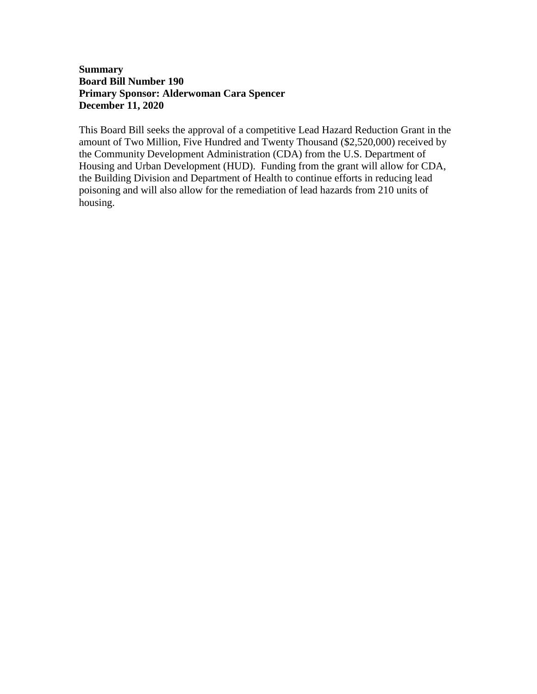## **Summary Board Bill Number 190 Primary Sponsor: Alderwoman Cara Spencer December 11, 2020**

This Board Bill seeks the approval of a competitive Lead Hazard Reduction Grant in the amount of Two Million, Five Hundred and Twenty Thousand (\$2,520,000) received by the Community Development Administration (CDA) from the U.S. Department of Housing and Urban Development (HUD). Funding from the grant will allow for CDA, the Building Division and Department of Health to continue efforts in reducing lead poisoning and will also allow for the remediation of lead hazards from 210 units of housing.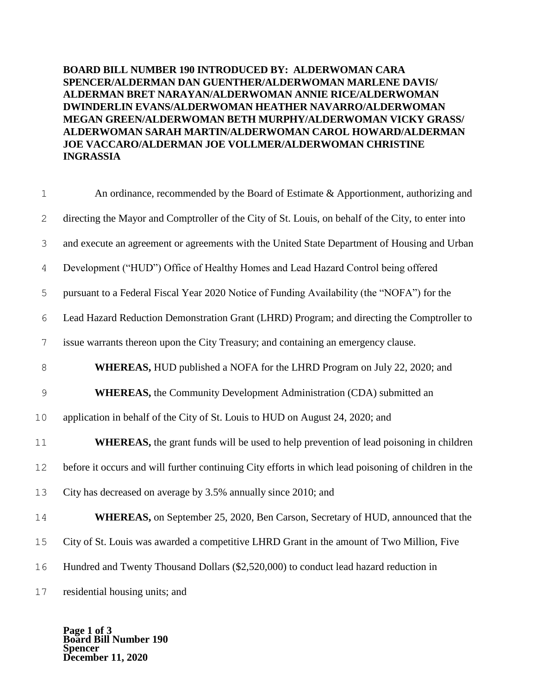**BOARD BILL NUMBER 190 INTRODUCED BY: ALDERWOMAN CARA SPENCER/ALDERMAN DAN GUENTHER/ALDERWOMAN MARLENE DAVIS/ ALDERMAN BRET NARAYAN/ALDERWOMAN ANNIE RICE/ALDERWOMAN DWINDERLIN EVANS/ALDERWOMAN HEATHER NAVARRO/ALDERWOMAN MEGAN GREEN/ALDERWOMAN BETH MURPHY/ALDERWOMAN VICKY GRASS/ ALDERWOMAN SARAH MARTIN/ALDERWOMAN CAROL HOWARD/ALDERMAN JOE VACCARO/ALDERMAN JOE VOLLMER/ALDERWOMAN CHRISTINE INGRASSIA**

| $\mathbf 1$    | An ordinance, recommended by the Board of Estimate & Apportionment, authorizing and                  |  |  |  |  |
|----------------|------------------------------------------------------------------------------------------------------|--|--|--|--|
| $\mathbf{2}$   | directing the Mayor and Comptroller of the City of St. Louis, on behalf of the City, to enter into   |  |  |  |  |
| 3              | and execute an agreement or agreements with the United State Department of Housing and Urban         |  |  |  |  |
| $\overline{4}$ | Development ("HUD") Office of Healthy Homes and Lead Hazard Control being offered                    |  |  |  |  |
| 5              | pursuant to a Federal Fiscal Year 2020 Notice of Funding Availability (the "NOFA") for the           |  |  |  |  |
| 6              | Lead Hazard Reduction Demonstration Grant (LHRD) Program; and directing the Comptroller to           |  |  |  |  |
| $\overline{7}$ | issue warrants thereon upon the City Treasury; and containing an emergency clause.                   |  |  |  |  |
| $8\,$          | <b>WHEREAS, HUD</b> published a NOFA for the LHRD Program on July 22, 2020; and                      |  |  |  |  |
| $\mathcal{G}$  | <b>WHEREAS</b> , the Community Development Administration (CDA) submitted an                         |  |  |  |  |
| 10             | application in behalf of the City of St. Louis to HUD on August 24, 2020; and                        |  |  |  |  |
| 11             | <b>WHEREAS</b> , the grant funds will be used to help prevention of lead poisoning in children       |  |  |  |  |
| 12             | before it occurs and will further continuing City efforts in which lead poisoning of children in the |  |  |  |  |
| 13             | City has decreased on average by 3.5% annually since 2010; and                                       |  |  |  |  |
| 14             | WHEREAS, on September 25, 2020, Ben Carson, Secretary of HUD, announced that the                     |  |  |  |  |
| 15             | City of St. Louis was awarded a competitive LHRD Grant in the amount of Two Million, Five            |  |  |  |  |
| 16             | Hundred and Twenty Thousand Dollars (\$2,520,000) to conduct lead hazard reduction in                |  |  |  |  |
| 17             | residential housing units; and                                                                       |  |  |  |  |

**Page 1 of 3 Board Bill Number 190 Spencer December 11, 2020**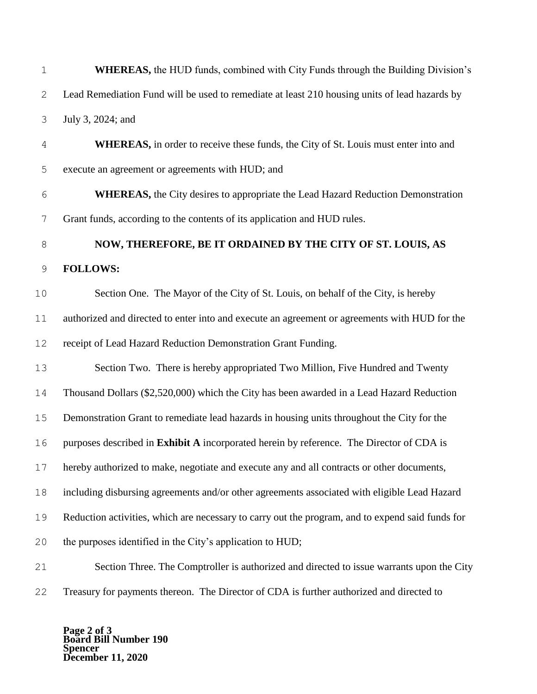| $1\,$          | <b>WHEREAS</b> , the HUD funds, combined with City Funds through the Building Division's         |  |  |  |  |
|----------------|--------------------------------------------------------------------------------------------------|--|--|--|--|
| 2              | Lead Remediation Fund will be used to remediate at least 210 housing units of lead hazards by    |  |  |  |  |
| $\mathcal{S}$  | July 3, 2024; and                                                                                |  |  |  |  |
| 4              | <b>WHEREAS</b> , in order to receive these funds, the City of St. Louis must enter into and      |  |  |  |  |
| 5              | execute an agreement or agreements with HUD; and                                                 |  |  |  |  |
| 6              | <b>WHEREAS</b> , the City desires to appropriate the Lead Hazard Reduction Demonstration         |  |  |  |  |
| $\overline{7}$ | Grant funds, according to the contents of its application and HUD rules.                         |  |  |  |  |
| $\,8\,$        | NOW, THEREFORE, BE IT ORDAINED BY THE CITY OF ST. LOUIS, AS                                      |  |  |  |  |
| $\mathsf 9$    | <b>FOLLOWS:</b>                                                                                  |  |  |  |  |
| 10             | Section One. The Mayor of the City of St. Louis, on behalf of the City, is hereby                |  |  |  |  |
| 11             | authorized and directed to enter into and execute an agreement or agreements with HUD for the    |  |  |  |  |
| 12             | receipt of Lead Hazard Reduction Demonstration Grant Funding.                                    |  |  |  |  |
| 13             | Section Two. There is hereby appropriated Two Million, Five Hundred and Twenty                   |  |  |  |  |
| 14             | Thousand Dollars (\$2,520,000) which the City has been awarded in a Lead Hazard Reduction        |  |  |  |  |
| 15             | Demonstration Grant to remediate lead hazards in housing units throughout the City for the       |  |  |  |  |
| 16             | purposes described in Exhibit A incorporated herein by reference. The Director of CDA is         |  |  |  |  |
| 17             | hereby authorized to make, negotiate and execute any and all contracts or other documents,       |  |  |  |  |
| 18             | including disbursing agreements and/or other agreements associated with eligible Lead Hazard     |  |  |  |  |
| 19             | Reduction activities, which are necessary to carry out the program, and to expend said funds for |  |  |  |  |
| 20             | the purposes identified in the City's application to HUD;                                        |  |  |  |  |
| 21             | Section Three. The Comptroller is authorized and directed to issue warrants upon the City        |  |  |  |  |
| 22             | Treasury for payments thereon. The Director of CDA is further authorized and directed to         |  |  |  |  |

**Page 2 of 3 Board Bill Number 190 Spencer December 11, 2020**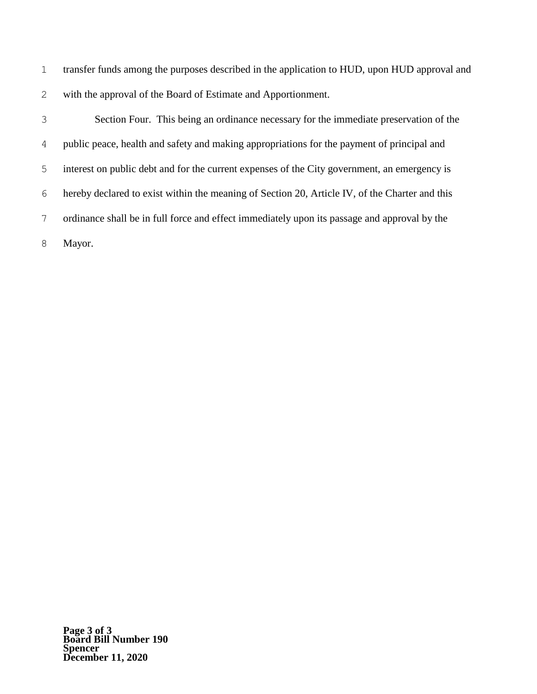transfer funds among the purposes described in the application to HUD, upon HUD approval and with the approval of the Board of Estimate and Apportionment.

 Section Four. This being an ordinance necessary for the immediate preservation of the public peace, health and safety and making appropriations for the payment of principal and interest on public debt and for the current expenses of the City government, an emergency is hereby declared to exist within the meaning of Section 20, Article IV, of the Charter and this ordinance shall be in full force and effect immediately upon its passage and approval by the Mayor.